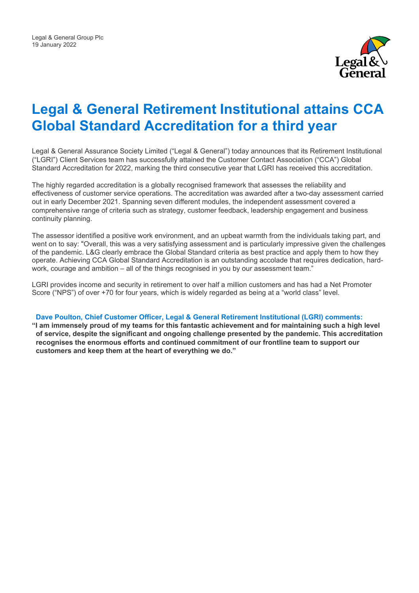

# **Legal & General Retirement Institutional attains CCA Global Standard Accreditation for a third year**

Legal & General Assurance Society Limited ("Legal & General") today announces that its Retirement Institutional ("LGRI") Client Services team has successfully attained the Customer Contact Association ("CCA") Global Standard Accreditation for 2022, marking the third consecutive year that LGRI has received this accreditation.

The highly regarded accreditation is a globally recognised framework that assesses the reliability and effectiveness of customer service operations. The accreditation was awarded after a two-day assessment carried out in early December 2021. Spanning seven different modules, the independent assessment covered a comprehensive range of criteria such as strategy, customer feedback, leadership engagement and business continuity planning.

The assessor identified a positive work environment, and an upbeat warmth from the individuals taking part, and went on to say: "Overall, this was a very satisfying assessment and is particularly impressive given the challenges of the pandemic. L&G clearly embrace the Global Standard criteria as best practice and apply them to how they operate. Achieving CCA Global Standard Accreditation is an outstanding accolade that requires dedication, hardwork, courage and ambition – all of the things recognised in you by our assessment team."

LGRI provides income and security in retirement to over half a million customers and has had a Net Promoter Score ("NPS") of over +70 for four years, which is widely regarded as being at a "world class" level.

## **Dave Poulton, Chief Customer Officer, Legal & General Retirement Institutional (LGRI) comments:**

**"I am immensely proud of my teams for this fantastic achievement and for maintaining such a high level of service, despite the significant and ongoing challenge presented by the pandemic. This accreditation recognises the enormous efforts and continued commitment of our frontline team to support our customers and keep them at the heart of everything we do."**